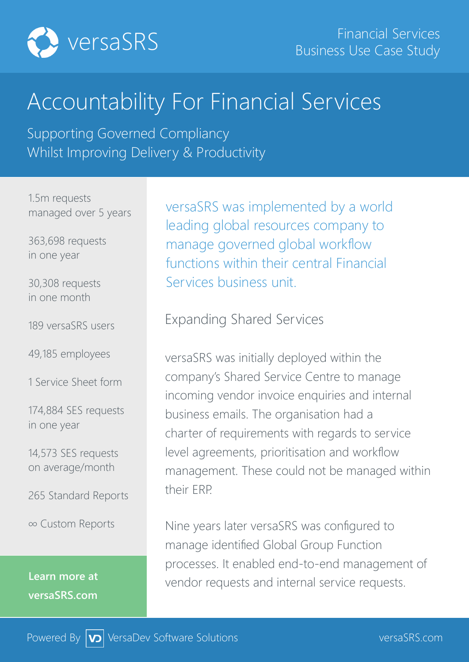

# Accountability For Financial Services

Supporting Governed Compliancy Whilst Improving Delivery & Productivity

1.5m requests managed over 5 years

363,698 requests in one year

30,308 requests in one month

189 versaSRS users

49,185 employees

1 Service Sheet form

174,884 SES requests in one year

14,573 SES requests on average/month

265 Standard Reports

∞ Custom Reports

**Learn more at versaSRS.com**

versaSRS was implemented by a world leading global resources company to manage governed global workflow functions within their central Financial Services business unit.

Expanding Shared Services

versaSRS was initially deployed within the company's Shared Service Centre to manage incoming vendor invoice enquiries and internal business emails. The organisation had a charter of requirements with regards to service level agreements, prioritisation and workflow management. These could not be managed within their ERP.

Nine years later versaSRS was configured to manage identified Global Group Function processes. It enabled end-to-end management of vendor requests and internal service requests.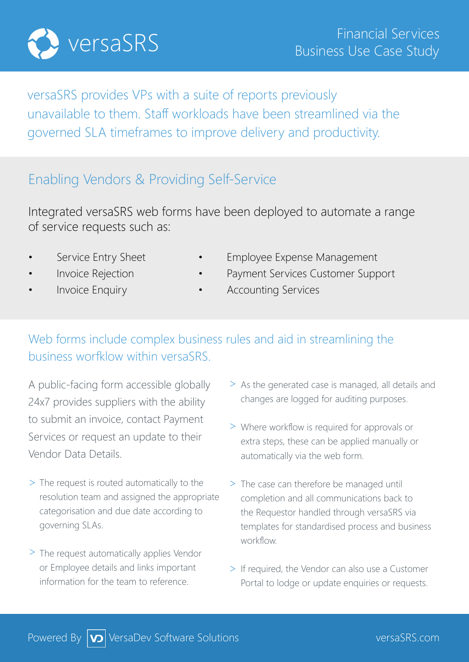

versaSRS provides VPs with a suite of reports previously unavailable to them. Staff workloads have been streamlined via the governed SLA timeframes to improve delivery and productivity.

#### Enabling Vendors & Providing Self-Service

Integrated versaSRS web forms have been deployed to automate a range of service requests such as:

- 
- 
- 
- Service Entry Sheet Employee Expense Management
- Invoice Rejection Payment Services Customer Support
	- Invoice Enquiry  **•** Accounting Services

#### Web forms include complex business rules and aid in streamlining the business worfklow within versaSRS.

A public-facing form accessible globally 24x7 provides suppliers with the ability to submit an invoice, contact Payment Services or request an update to their Vendor Data Details.

- > The request is routed automatically to the resolution team and assigned the appropriate categorisation and due date according to governing SLAs.
- > The request automatically applies Vendor or Employee details and links important information for the team to reference.
- > As the generated case is managed, all details and changes are logged for auditing purposes.
- Where workflow is required for approvals or > extra steps, these can be applied manually or automatically via the web form.
- > The case can therefore be managed until completion and all communications back to the Requestor handled through versaSRS via templates for standardised process and business workflow.
- > If required, the Vendor can also use a Customer Portal to lodge or update enquiries or requests.